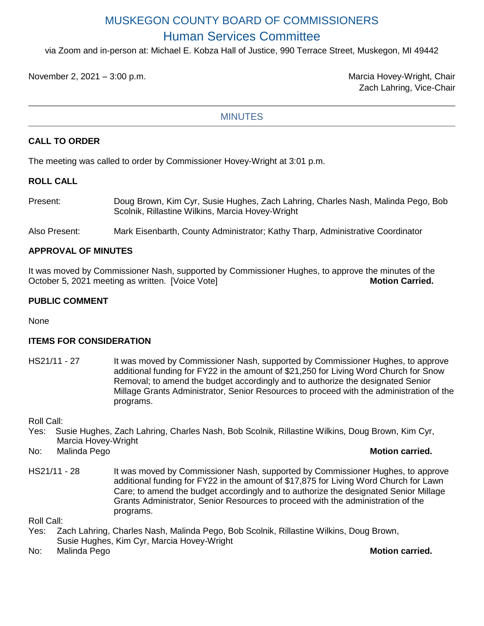# MUSKEGON COUNTY BOARD OF COMMISSIONERS Human Services Committee

via Zoom and in-person at: Michael E. Kobza Hall of Justice, 990 Terrace Street, Muskegon, MI 49442

November 2, 2021 – 3:00 p.m. Marcia Hovey-Wright, Chair

Zach Lahring, Vice-Chair

### **MINUTES**

### **CALL TO ORDER**

The meeting was called to order by Commissioner Hovey-Wright at 3:01 p.m.

### **ROLL CALL**

- Present: Doug Brown, Kim Cyr, Susie Hughes, Zach Lahring, Charles Nash, Malinda Pego, Bob Scolnik, Rillastine Wilkins, Marcia Hovey-Wright
- Also Present: Mark Eisenbarth, County Administrator; Kathy Tharp, Administrative Coordinator

### **APPROVAL OF MINUTES**

It was moved by Commissioner Nash, supported by Commissioner Hughes, to approve the minutes of the October 5, 2021 meeting as written. [Voice Vote] **Motion Carried. Motion Carried.** 

### **PUBLIC COMMENT**

None

### **ITEMS FOR CONSIDERATION**

HS21/11 - 27 It was moved by Commissioner Nash, supported by Commissioner Hughes, to approve additional funding for FY22 in the amount of \$21,250 for Living Word Church for Snow Removal; to amend the budget accordingly and to authorize the designated Senior Millage Grants Administrator, Senior Resources to proceed with the administration of the programs.

Roll Call:

- Yes: Susie Hughes, Zach Lahring, Charles Nash, Bob Scolnik, Rillastine Wilkins, Doug Brown, Kim Cyr, Marcia Hovey-Wright
- No: Malinda Pego **Motion carried.**

HS21/11 - 28 It was moved by Commissioner Nash, supported by Commissioner Hughes, to approve additional funding for FY22 in the amount of \$17,875 for Living Word Church for Lawn Care; to amend the budget accordingly and to authorize the designated Senior Millage Grants Administrator, Senior Resources to proceed with the administration of the programs.

Roll Call:

- Yes: Zach Lahring, Charles Nash, Malinda Pego, Bob Scolnik, Rillastine Wilkins, Doug Brown, Susie Hughes, Kim Cyr, Marcia Hovey-Wright
- No: Malinda Pego **Motion carried.**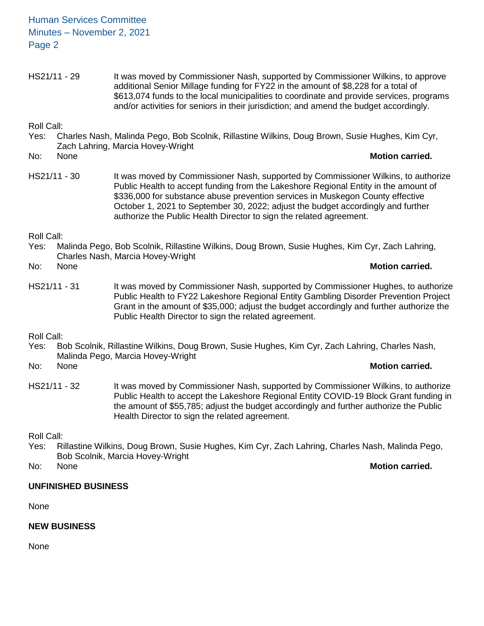Human Services Committee Minutes – November 2, 2021 Page 2

HS21/11 - 29 It was moved by Commissioner Nash, supported by Commissioner Wilkins, to approve additional Senior Millage funding for FY22 in the amount of \$8,228 for a total of \$613,074 funds to the local municipalities to coordinate and provide services, programs and/or activities for seniors in their jurisdiction; and amend the budget accordingly.

Roll Call:

- Yes: Charles Nash, Malinda Pego, Bob Scolnik, Rillastine Wilkins, Doug Brown, Susie Hughes, Kim Cyr, Zach Lahring, Marcia Hovey-Wright
- No: None **Motion carried.**
- HS21/11 30 It was moved by Commissioner Nash, supported by Commissioner Wilkins, to authorize Public Health to accept funding from the Lakeshore Regional Entity in the amount of \$336,000 for substance abuse prevention services in Muskegon County effective October 1, 2021 to September 30, 2022; adjust the budget accordingly and further authorize the Public Health Director to sign the related agreement.

Roll Call:

Yes: Malinda Pego, Bob Scolnik, Rillastine Wilkins, Doug Brown, Susie Hughes, Kim Cyr, Zach Lahring, Charles Nash, Marcia Hovey-Wright

No: None **Motion carried.**

HS21/11 - 31 It was moved by Commissioner Nash, supported by Commissioner Hughes, to authorize Public Health to FY22 Lakeshore Regional Entity Gambling Disorder Prevention Project Grant in the amount of \$35,000; adjust the budget accordingly and further authorize the Public Health Director to sign the related agreement.

Roll Call:

Yes: Bob Scolnik, Rillastine Wilkins, Doug Brown, Susie Hughes, Kim Cyr, Zach Lahring, Charles Nash, Malinda Pego, Marcia Hovey-Wright

No: None **Motion carried.**

HS21/11 - 32 It was moved by Commissioner Nash, supported by Commissioner Wilkins, to authorize Public Health to accept the Lakeshore Regional Entity COVID-19 Block Grant funding in the amount of \$55,785; adjust the budget accordingly and further authorize the Public Health Director to sign the related agreement.

Roll Call:

Yes: Rillastine Wilkins, Doug Brown, Susie Hughes, Kim Cyr, Zach Lahring, Charles Nash, Malinda Pego, Bob Scolnik, Marcia Hovey-Wright

No: None **Motion carried.**

## **UNFINISHED BUSINESS**

None

## **NEW BUSINESS**

None